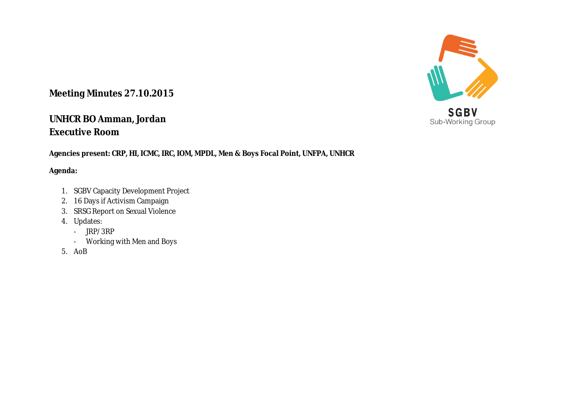## **Meeting Minutes 27.10.2015**

## **UNHCR BO Amman, Jordan Executive Room**

**Agencies present: CRP, HI, ICMC, IRC, IOM, MPDL, Men & Boys Focal Point, UNFPA, UNHCR**

## **Agenda:**

- 1. SGBV Capacity Development Project
- 2. 16 Days if Activism Campaign
- 3. SRSG Report on Sexual Violence
- 4. Updates:
	- JRP/3RP
	- Working with Men and Boys
- 5. AoB



Sub-Working Group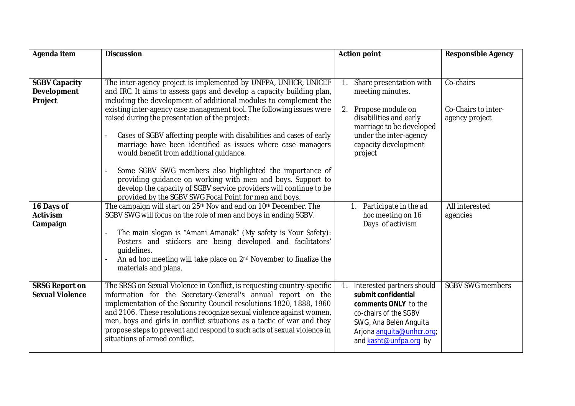| Agenda item                                           | <b>Discussion</b>                                                                                                                                                                                                                                                                                                                                                                                                                                                                                                         | <b>Action point</b>                                                                                                                                                                    | <b>Responsible Agency</b>                          |
|-------------------------------------------------------|---------------------------------------------------------------------------------------------------------------------------------------------------------------------------------------------------------------------------------------------------------------------------------------------------------------------------------------------------------------------------------------------------------------------------------------------------------------------------------------------------------------------------|----------------------------------------------------------------------------------------------------------------------------------------------------------------------------------------|----------------------------------------------------|
| <b>SGBV Capacity</b><br><b>Development</b><br>Project | The inter-agency project is implemented by UNFPA, UNHCR, UNICEF<br>and IRC. It aims to assess gaps and develop a capacity building plan,<br>including the development of additional modules to complement the<br>existing inter-agency case management tool. The following issues were<br>raised during the presentation of the project:<br>Cases of SGBV affecting people with disabilities and cases of early<br>marriage have been identified as issues where case managers<br>would benefit from additional quidance. | Share presentation with<br>meeting minutes.<br>2. Propose module on<br>disabilities and early<br>marriage to be developed<br>under the inter-agency<br>capacity development<br>project | Co-chairs<br>Co-Chairs to inter-<br>agency project |
| 16 Days of<br><b>Activism</b><br>Campaign             | Some SGBV SWG members also highlighted the importance of<br>providing guidance on working with men and boys. Support to<br>develop the capacity of SGBV service providers will continue to be<br>provided by the SGBV SWG Focal Point for men and boys.<br>The campaign will start on 25th Nov and end on 10th December. The<br>SGBV SWG will focus on the role of men and boys in ending SGBV.                                                                                                                           | Participate in the ad<br>hoc meeting on 16<br>Days of activism                                                                                                                         | All interested<br>agencies                         |
|                                                       | The main slogan is "Amani Amanak" (My safety is Your Safety):<br>Posters and stickers are being developed and facilitators'<br>quidelines.<br>An ad hoc meeting will take place on 2 <sup>nd</sup> November to finalize the<br>materials and plans.                                                                                                                                                                                                                                                                       |                                                                                                                                                                                        |                                                    |
| <b>SRSG Report on</b><br><b>Sexual Violence</b>       | The SRSG on Sexual Violence in Conflict, is requesting country-specific<br>information for the Secretary-General's annual report on the<br>implementation of the Security Council resolutions 1820, 1888, 1960<br>and 2106. These resolutions recognize sexual violence against women,<br>men, boys and girls in conflict situations as a tactic of war and they<br>propose steps to prevent and respond to such acts of sexual violence in<br>situations of armed conflict.                                              | Interested partners should<br>submit confidential<br>comments ONLY to the<br>co-chairs of the SGBV<br>SWG, Ana Belén Anguita<br>Arjona anguita@unhcr.org;<br>and kasht@unfpa.org by    | <b>SGBV SWG members</b>                            |